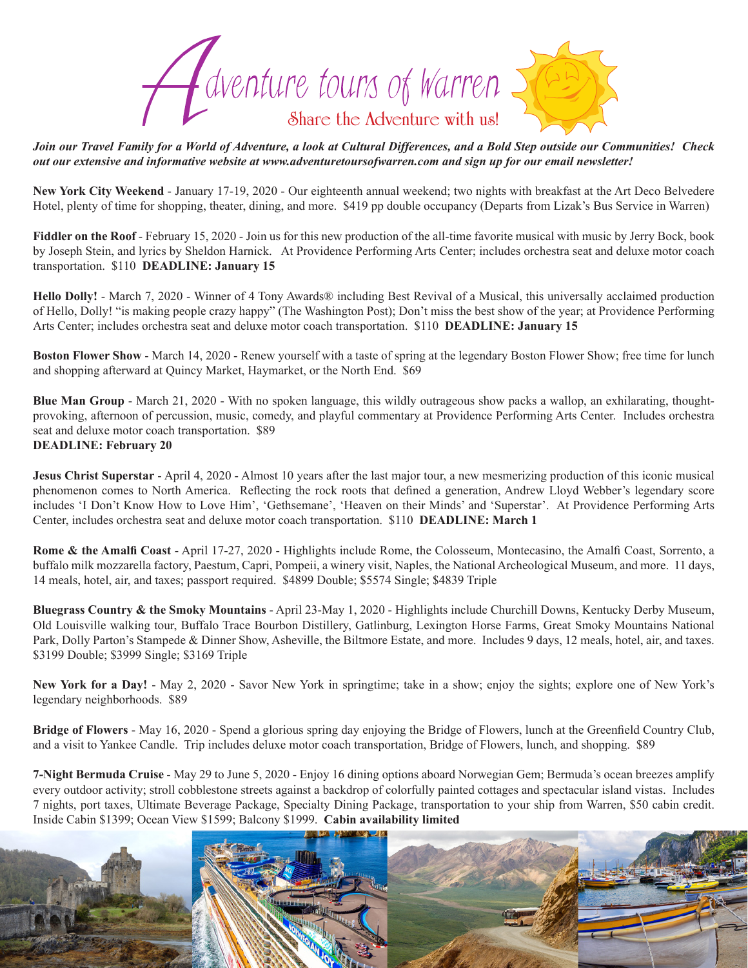

*Join our Travel Family for a World of Adventure, a look at Cultural Differences, and a Bold Step outside our Communities! Check out our extensive and informative website at www.adventuretoursofwarren.com and sign up for our email newsletter!* 

**New York City Weekend** - January 17-19, 2020 - Our eighteenth annual weekend; two nights with breakfast at the Art Deco Belvedere Hotel, plenty of time for shopping, theater, dining, and more. \$419 pp double occupancy (Departs from Lizak's Bus Service in Warren)

**Fiddler on the Roof** - February 15, 2020 - Join us for this new production of the all-time favorite musical with music by Jerry Bock, book by Joseph Stein, and lyrics by Sheldon Harnick. At Providence Performing Arts Center; includes orchestra seat and deluxe motor coach transportation. \$110 **DEADLINE: January 15**

**Hello Dolly!** - March 7, 2020 - Winner of 4 Tony Awards® including Best Revival of a Musical, this universally acclaimed production of Hello, Dolly! "is making people crazy happy" (The Washington Post); Don't miss the best show of the year; at Providence Performing Arts Center; includes orchestra seat and deluxe motor coach transportation. \$110 **DEADLINE: January 15**

**Boston Flower Show** - March 14, 2020 - Renew yourself with a taste of spring at the legendary Boston Flower Show; free time for lunch and shopping afterward at Quincy Market, Haymarket, or the North End. \$69

**Blue Man Group** - March 21, 2020 - With no spoken language, this wildly outrageous show packs a wallop, an exhilarating, thoughtprovoking, afternoon of percussion, music, comedy, and playful commentary at Providence Performing Arts Center. Includes orchestra seat and deluxe motor coach transportation. \$89 **DEADLINE: February 20**

**Jesus Christ Superstar** - April 4, 2020 - Almost 10 years after the last major tour, a new mesmerizing production of this iconic musical phenomenon comes to North America. Reflecting the rock roots that defined a generation, Andrew Lloyd Webber's legendary score includes 'I Don't Know How to Love Him', 'Gethsemane', 'Heaven on their Minds' and 'Superstar'. At Providence Performing Arts Center, includes orchestra seat and deluxe motor coach transportation. \$110 **DEADLINE: March 1**

**Rome & the Amalfi Coast** - April 17-27, 2020 - Highlights include Rome, the Colosseum, Montecasino, the Amalfi Coast, Sorrento, a buffalo milk mozzarella factory, Paestum, Capri, Pompeii, a winery visit, Naples, the National Archeological Museum, and more. 11 days, 14 meals, hotel, air, and taxes; passport required. \$4899 Double; \$5574 Single; \$4839 Triple

**Bluegrass Country & the Smoky Mountains** - April 23-May 1, 2020 - Highlights include Churchill Downs, Kentucky Derby Museum, Old Louisville walking tour, Buffalo Trace Bourbon Distillery, Gatlinburg, Lexington Horse Farms, Great Smoky Mountains National Park, Dolly Parton's Stampede & Dinner Show, Asheville, the Biltmore Estate, and more. Includes 9 days, 12 meals, hotel, air, and taxes. \$3199 Double; \$3999 Single; \$3169 Triple

**New York for a Day!** - May 2, 2020 - Savor New York in springtime; take in a show; enjoy the sights; explore one of New York's legendary neighborhoods. \$89

**Bridge of Flowers** - May 16, 2020 - Spend a glorious spring day enjoying the Bridge of Flowers, lunch at the Greenfield Country Club, and a visit to Yankee Candle. Trip includes deluxe motor coach transportation, Bridge of Flowers, lunch, and shopping. \$89

**7-Night Bermuda Cruise** - May 29 to June 5, 2020 - Enjoy 16 dining options aboard Norwegian Gem; Bermuda's ocean breezes amplify every outdoor activity; stroll cobblestone streets against a backdrop of colorfully painted cottages and spectacular island vistas. Includes 7 nights, port taxes, Ultimate Beverage Package, Specialty Dining Package, transportation to your ship from Warren, \$50 cabin credit. Inside Cabin \$1399; Ocean View \$1599; Balcony \$1999. **Cabin availability limited**